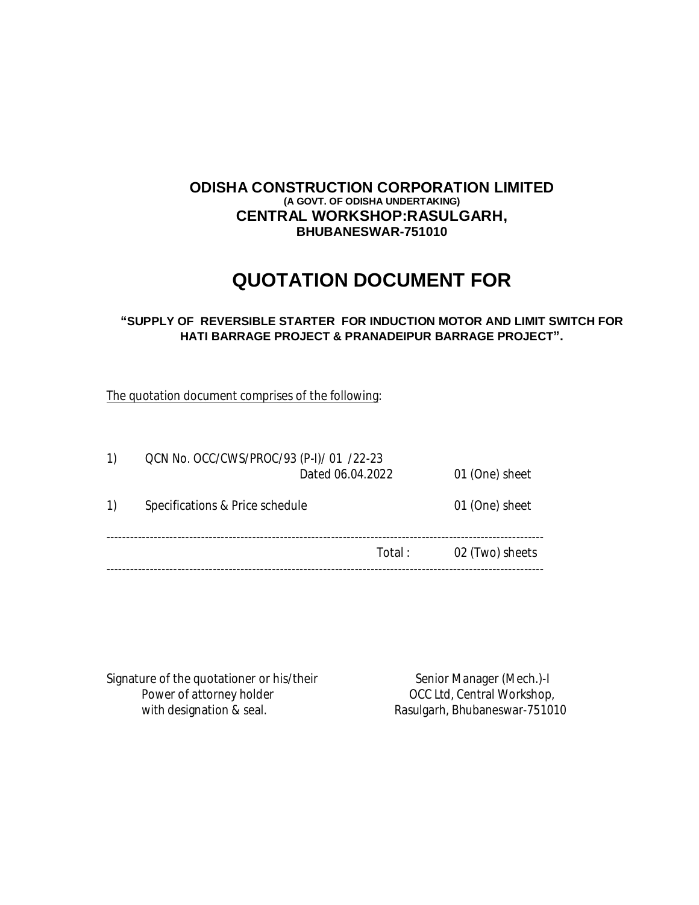# **ODISHA CONSTRUCTION CORPORATION LIMITED (A GOVT. OF ODISHA UNDERTAKING) CENTRAL WORKSHOP:RASULGARH, BHUBANESWAR-751010**

# **QUOTATION DOCUMENT FOR**

### **"SUPPLY OF REVERSIBLE STARTER FOR INDUCTION MOTOR AND LIMIT SWITCH FOR HATI BARRAGE PROJECT & PRANADEIPUR BARRAGE PROJECT".**

The quotation document comprises of the following:

| $\left( \begin{matrix} 1 \end{matrix} \right)$ | QCN No. OCC/CWS/PROC/93 (P-I)/ 01 /22-23 | Dated 06.04.2022 | 01 (One) sheet  |  |  |
|------------------------------------------------|------------------------------------------|------------------|-----------------|--|--|
| $\left( \begin{matrix} 1 \end{matrix} \right)$ | Specifications & Price schedule          |                  | 01 (One) sheet  |  |  |
|                                                |                                          | Total :          | 02 (Two) sheets |  |  |

Signature of the quotationer or his/their<br>Power of attorney holder over the senior Manager (Mech.)-I with designation & seal. The Rasulgarh, Bhubaneswar-751010

OCC Ltd, Central Workshop,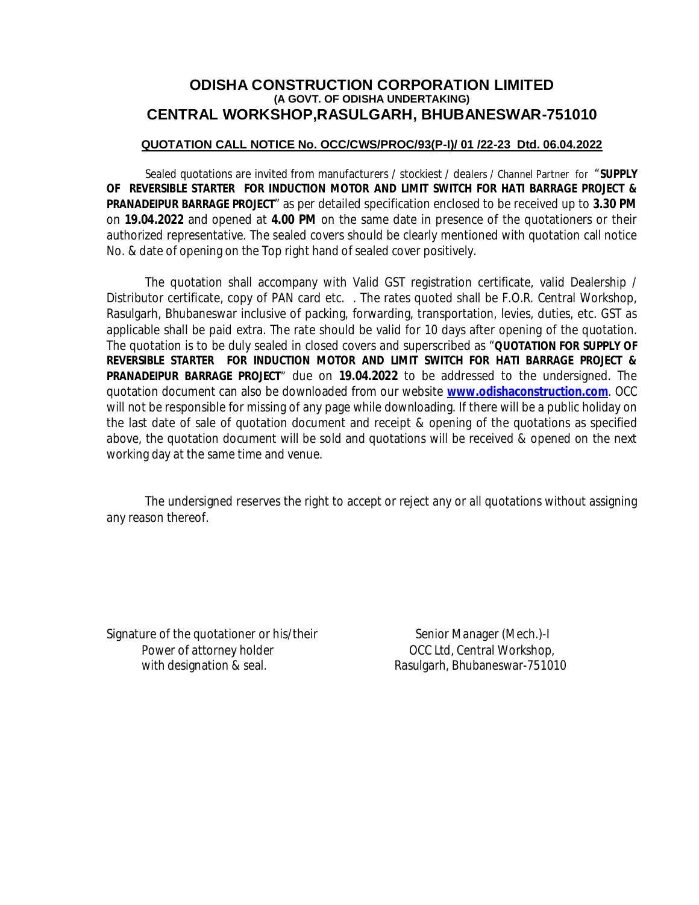# **ODISHA CONSTRUCTION CORPORATION LIMITED (A GOVT. OF ODISHA UNDERTAKING) CENTRAL WORKSHOP,RASULGARH, BHUBANESWAR-751010**

#### **QUOTATION CALL NOTICE No. OCC/CWS/PROC/93(P-I)/ 01 /22-23 Dtd. 06.04.2022**

Sealed quotations are invited from manufacturers / stockiest / dealers / Channel Partner for "**SUPPLY OF REVERSIBLE STARTER FOR INDUCTION MOTOR AND LIMIT SWITCH FOR HATI BARRAGE PROJECT & PRANADEIPUR BARRAGE PROJECT**" as per detailed specification enclosed to be received up to **3.30 PM** on **19.04.2022** and opened at **4.00 PM** on the same date in presence of the quotationers or their authorized representative. The sealed covers should be clearly mentioned with quotation call notice No. & date of opening on the Top right hand of sealed cover positively.

The quotation shall accompany with Valid GST registration certificate, valid Dealership / Distributor certificate, copy of PAN card etc. . The rates quoted shall be F.O.R. Central Workshop, Rasulgarh, Bhubaneswar inclusive of packing, forwarding, transportation, levies, duties, etc. GST as applicable shall be paid extra. The rate should be valid for 10 days after opening of the quotation. The quotation is to be duly sealed in closed covers and superscribed as "**QUOTATION FOR SUPPLY OF REVERSIBLE STARTER FOR INDUCTION MOTOR AND LIMIT SWITCH FOR HATI BARRAGE PROJECT & PRANADEIPUR BARRAGE PROJECT**" due on **19.04.2022** to be addressed to the undersigned. The quotation document can also be downloaded from our website **www.odishaconstruction.com**. OCC will not be responsible for missing of any page while downloading. If there will be a public holiday on the last date of sale of quotation document and receipt & opening of the quotations as specified above, the quotation document will be sold and quotations will be received & opened on the next working day at the same time and venue.

The undersigned reserves the right to accept or reject any or all quotations without assigning any reason thereof.

Signature of the quotationer or his/their Senior Manager (Mech.)-I Power of attorney holder **Department COCC Ltd, Central Workshop**, with designation & seal. Rasulgarh, Bhubaneswar-751010